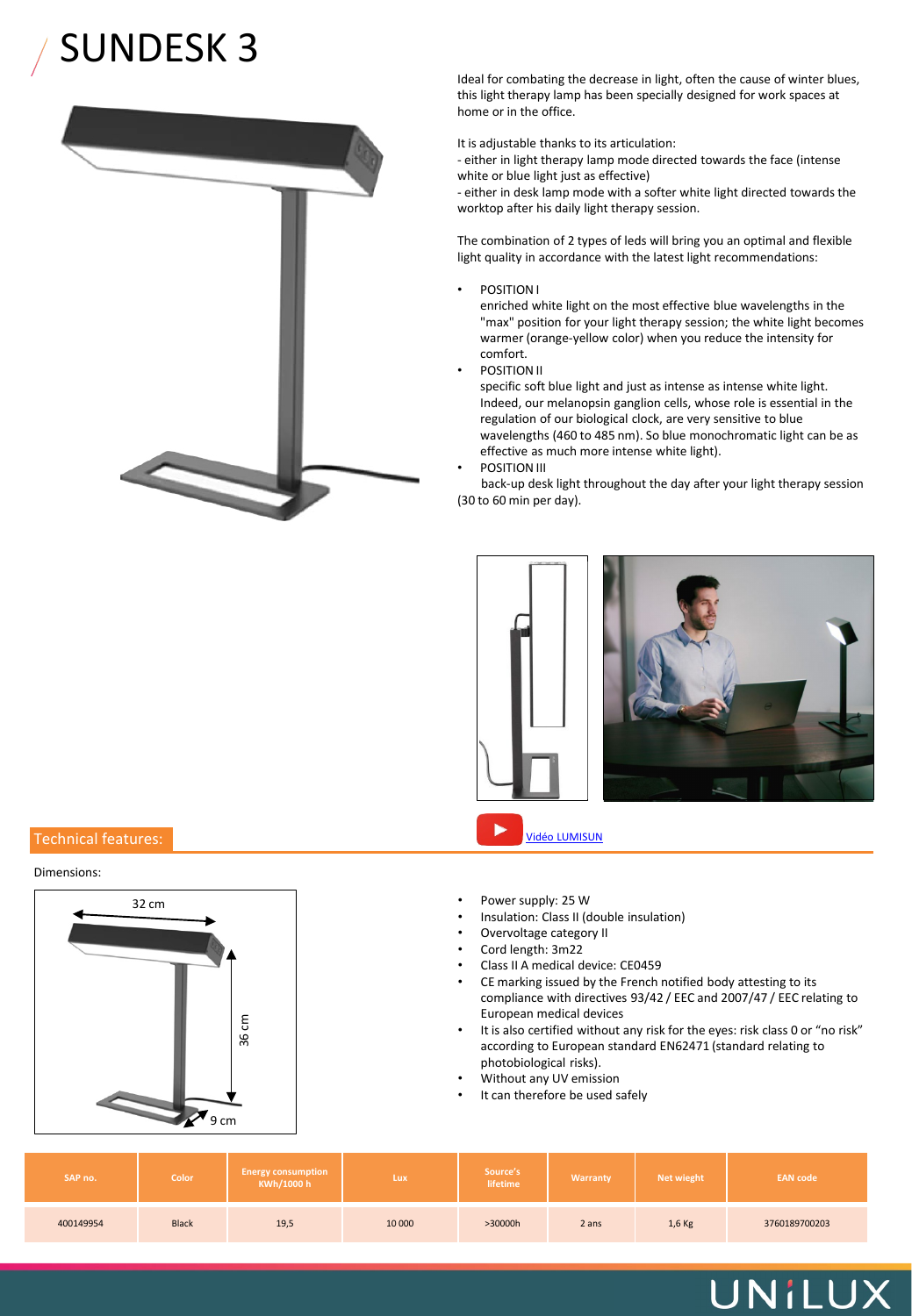# SUNDESK 3



Ideal for combating the decrease in light, often the cause of winter blues, this light therapy lamp has been specially designed for work spaces at home or in the office.

It is adjustable thanks to its articulation:

- either in light therapy lamp mode directed towards the face (intense white or blue light just as effective)

- either in desk lamp mode with a softer white light directed towards the worktop after his daily light therapy session.

The combination of 2 types of leds will bring you an optimal and flexible light quality in accordance with the latest light recommendations:

• POSITION I

enriched white light on the most effective blue wavelengths in the "max" position for your light therapy session; the white light becomes warmer (orange-yellow color) when you reduce the intensity for comfort.

• POSITION II

specific soft blue light and just as intense as intense white light. Indeed, our melanopsin ganglion cells, whose role is essential in the regulation of our biological clock, are very sensitive to blue wavelengths (460 to 485 nm). So blue monochromatic light can be as effective as much more intense white light). • POSITION III

back-up desk light throughout the day after your light therapy session (30 to 60 min per day).



## Technical features: Vidéo LUMISUN

#### Dimensions:



- 
- Insulation: Class II (double insulation)
- Overvoltage category II
- Cord length: 3m22
- Class II A medical device: CE0459
- CE marking issued by the French notified body attesting to its compliance with directives 93/42 / EEC and 2007/47 / EEC relating to European medical devices
- It is also certified without any risk for the eyes: risk class 0 or "no risk" according to European standard EN62471 (standard relating to photobiological risks).

UNILUX

- Without any UV emission
- It can therefore be used safely

| SAP no.   | <b>Color</b> | <b>Energy consumption</b><br>KWh/1000 h | Lux    | Source's<br>lifetime | Warranty | Net wieght | <b>EAN code</b> |
|-----------|--------------|-----------------------------------------|--------|----------------------|----------|------------|-----------------|
| 400149954 | <b>Black</b> | 19,5                                    | 10 000 | >30000h              | 2 ans    | $1,6$ Kg   | 3760189700203   |